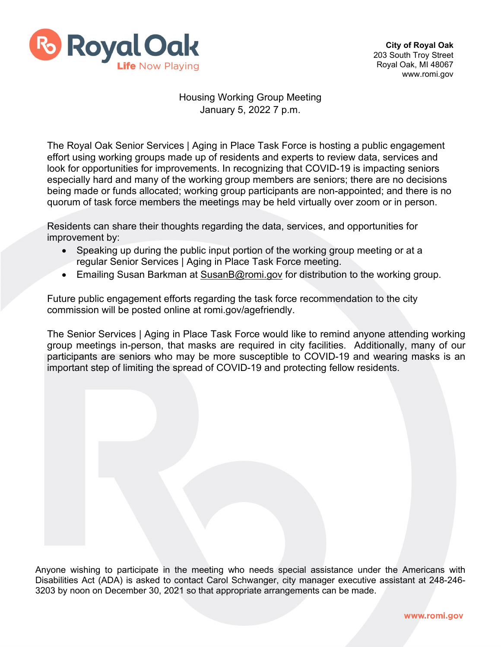

## Housing Working Group Meeting January 5, 2022 7 p.m.

The Royal Oak Senior Services | Aging in Place Task Force is hosting a public engagement effort using working groups made up of residents and experts to review data, services and look for opportunities for improvements. In recognizing that COVID-19 is impacting seniors especially hard and many of the working group members are seniors; there are no decisions being made or funds allocated; working group participants are non-appointed; and there is no quorum of task force members the meetings may be held virtually over zoom or in person.

Residents can share their thoughts regarding the data, services, and opportunities for improvement by:

- Speaking up during the public input portion of the working group meeting or at a regular Senior Services | Aging in Place Task Force meeting.
- Emailing Susan Barkman at [SusanB@romi.gov](mailto:SusanB@romi.gov) for distribution to the working group.

Future public engagement efforts regarding the task force recommendation to the city commission will be posted online at romi.gov/agefriendly.

The Senior Services | Aging in Place Task Force would like to remind anyone attending working group meetings in-person, that masks are required in city facilities. Additionally, many of our participants are seniors who may be more susceptible to COVID-19 and wearing masks is an important step of limiting the spread of COVID-19 and protecting fellow residents.

Anyone wishing to participate in the meeting who needs special assistance under the Americans with Disabilities Act (ADA) is asked to contact Carol Schwanger, city manager executive assistant at 248-246- 3203 by noon on December 30, 2021 so that appropriate arrangements can be made.